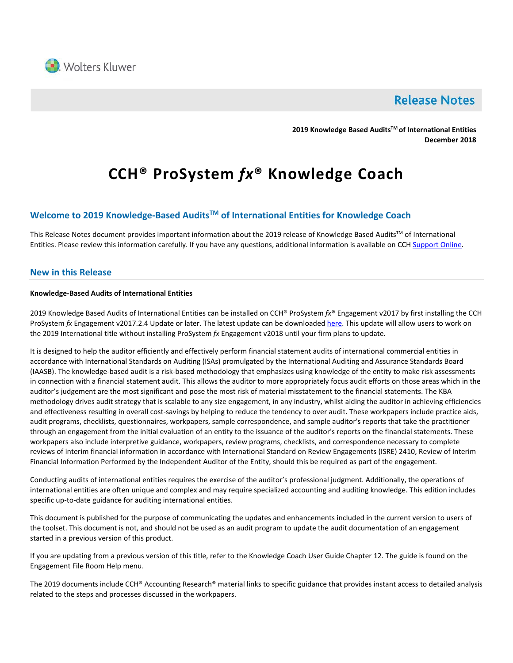

# **Release Notes**

**2019 Knowledge Based AuditsTM of International Entities December 2018** 

# **CCH® ProSystem** *fx***® Knowledge Coach**

# **Welcome to 2019 Knowledge-Based AuditsTM of International Entities for Knowledge Coach**

This Release Notes document provides important information about the 2019 release of Knowledge Based Audits™ of International Entities. Please review this information carefully. If you have any questions, additional information is available on CCH [Support Online.](http://support.cch.com/productsupport/)

# **New in this Release**

# **Knowledge-Based Audits of International Entities**

2019 Knowledge Based Audits of International Entities can be installed on CCH® ProSystem *fx*® Engagement v2017 by first installing the CCH ProSystem *fx* Engagement v2017.2.4 Update or later. The latest update can be downloade[d here.](https://support.cch.com/updates/Engagement/release2017/release2017.aspx) This update will allow users to work on the 2019 International title without installing ProSystem *fx* Engagement v2018 until your firm plans to update.

It is designed to help the auditor efficiently and effectively perform financial statement audits of international commercial entities in accordance with International Standards on Auditing (ISAs) promulgated by the International Auditing and Assurance Standards Board (IAASB). The knowledge-based audit is a risk-based methodology that emphasizes using knowledge of the entity to make risk assessments in connection with a financial statement audit. This allows the auditor to more appropriately focus audit efforts on those areas which in the auditor's judgement are the most significant and pose the most risk of material misstatement to the financial statements. The KBA methodology drives audit strategy that is scalable to any size engagement, in any industry, whilst aiding the auditor in achieving efficiencies and effectiveness resulting in overall cost-savings by helping to reduce the tendency to over audit. These workpapers include practice aids, audit programs, checklists, questionnaires, workpapers, sample correspondence, and sample auditor's reports that take the practitioner through an engagement from the initial evaluation of an entity to the issuance of the auditor's reports on the financial statements. These workpapers also include interpretive guidance, workpapers, review programs, checklists, and correspondence necessary to complete reviews of interim financial information in accordance with International Standard on Review Engagements (ISRE) 2410, Review of Interim Financial Information Performed by the Independent Auditor of the Entity, should this be required as part of the engagement.

Conducting audits of international entities requires the exercise of the auditor's professional judgment. Additionally, the operations of international entities are often unique and complex and may require specialized accounting and auditing knowledge. This edition includes specific up-to-date guidance for auditing international entities.

This document is published for the purpose of communicating the updates and enhancements included in the current version to users of the toolset. This document is not, and should not be used as an audit program to update the audit documentation of an engagement started in a previous version of this product.

If you are updating from a previous version of this title, refer to the Knowledge Coach User Guide Chapter 12. The guide is found on the Engagement File Room Help menu.

The 2019 documents include CCH® Accounting Research® material links to specific guidance that provides instant access to detailed analysis related to the steps and processes discussed in the workpapers.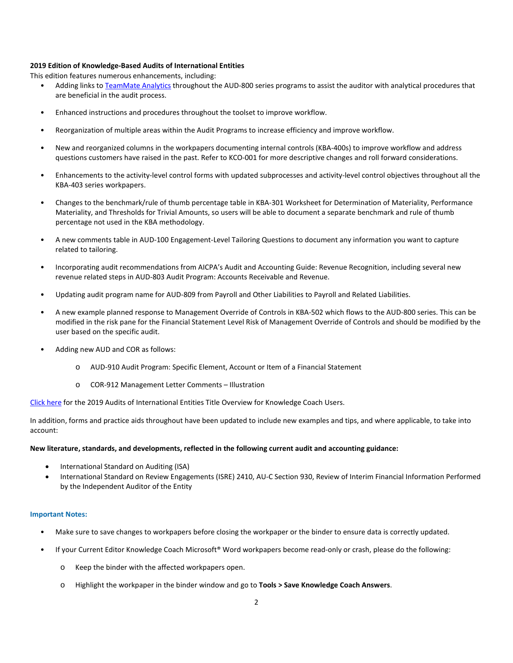## **2019 Edition of Knowledge-Based Audits of International Entities**

This edition features numerous enhancements, including:

- Adding links t[o TeamMate Analytics](http://engagetax.wolterskluwer.com/l/339101/2018-03-29/2w349) throughout the AUD-800 series programs to assist the auditor with analytical procedures that are beneficial in the audit process.
- Enhanced instructions and procedures throughout the toolset to improve workflow.
- Reorganization of multiple areas within the Audit Programs to increase efficiency and improve workflow.
- New and reorganized columns in the workpapers documenting internal controls (KBA-400s) to improve workflow and address questions customers have raised in the past. Refer to KCO-001 for more descriptive changes and roll forward considerations.
- Enhancements to the activity-level control forms with updated subprocesses and activity-level control objectives throughout all the KBA-403 series workpapers.
- Changes to the benchmark/rule of thumb percentage table in KBA-301 Worksheet for Determination of Materiality, Performance Materiality, and Thresholds for Trivial Amounts, so users will be able to document a separate benchmark and rule of thumb percentage not used in the KBA methodology.
- A new comments table in AUD-100 Engagement-Level Tailoring Questions to document any information you want to capture related to tailoring.
- Incorporating audit recommendations from AICPA's Audit and Accounting Guide: Revenue Recognition, including several new revenue related steps in AUD-803 Audit Program: Accounts Receivable and Revenue.
- Updating audit program name for AUD-809 from Payroll and Other Liabilities to Payroll and Related Liabilities.
- A new example planned response to Management Override of Controls in KBA-502 which flows to the AUD-800 series. This can be modified in the risk pane for the Financial Statement Level Risk of Management Override of Controls and should be modified by the user based on the specific audit.
- Adding new AUD and COR as follows:
	- o AUD-910 Audit Program: Specific Element, Account or Item of a Financial Statement
	- o COR-912 Management Letter Comments Illustration

[Click here](http://support.cch.com/updates/KnowledgeCoach/pdf/guides_tab/2019%20International%20Entities%20Title%20Overview%20for%20Knowledge%20Coach%20Users.pdf) for the 2019 Audits of International Entities Title Overview for Knowledge Coach Users.

In addition, forms and practice aids throughout have been updated to include new examples and tips, and where applicable, to take into account:

#### **New literature, standards, and developments, reflected in the following current audit and accounting guidance:**

- International Standard on Auditing (ISA)
- International Standard on Review Engagements (ISRE) 2410, AU-C Section 930, Review of Interim Financial Information Performed by the Independent Auditor of the Entity

#### **Important Notes:**

- Make sure to save changes to workpapers before closing the workpaper or the binder to ensure data is correctly updated.
- If your Current Editor Knowledge Coach Microsoft® Word workpapers become read-only or crash, please do the following:
	- o Keep the binder with the affected workpapers open.
	- o Highlight the workpaper in the binder window and go to **Tools > Save Knowledge Coach Answers**.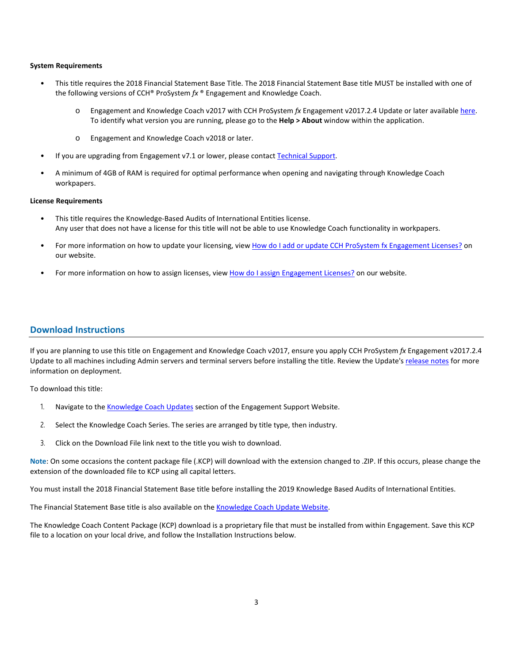#### **System Requirements**

- This title requires the 2018 Financial Statement Base Title. The 2018 Financial Statement Base title MUST be installed with one of the following versions of CCH® ProSystem *fx* ® Engagement and Knowledge Coach.
	- o Engagement and Knowledge Coach v2017 with CCH ProSystem *fx* Engagement v2017.2.4 Update or later available [here.](https://support.cch.com/updates/Engagement/release2017/release2017.aspx) To identify what version you are running, please go to the **Help > About** window within the application.
	- o Engagement and Knowledge Coach v2018 or later.
- If you are upgrading from Engagement v7.1 or lower, please contact [Technical Support.](https://support.cch.com/contact)
- A minimum of 4GB of RAM is required for optimal performance when opening and navigating through Knowledge Coach workpapers.

## **License Requirements**

- This title requires the Knowledge-Based Audits of International Entities license. Any user that does not have a license for this title will not be able to use Knowledge Coach functionality in workpapers.
- For more information on how to update your licensing, view [How do I add or update CCH ProSystem fx Engagement Licenses?](https://support.cch.com/kb/solution.aspx/sw3937) on our website.
- For more information on how to assign licenses, view [How do I assign Engagement Licenses?](https://support.cch.com/kb/solution.aspx/sw3943) on our website.

# **Download Instructions**

If you are planning to use this title on Engagement and Knowledge Coach v2017, ensure you apply CCH ProSystem *fx* Engagement v2017.2.4 Update to all machines including Admin servers and terminal servers before installing the title. Review the Update's [release notes](https://support.cch.com/updates/Engagement/patch75/ENG%202017.2.4%20Release%20Notes.pdf) for more information on deployment.

To download this title:

- 1. Navigate to the [Knowledge Coach Updates](http://support.cch.com/updates/KnowledgeCoach) section of the Engagement Support Website.
- 2. Select the Knowledge Coach Series. The series are arranged by title type, then industry.
- 3. Click on the Download File link next to the title you wish to download.

**Note**: On some occasions the content package file (.KCP) will download with the extension changed to .ZIP. If this occurs, please change the extension of the downloaded file to KCP using all capital letters.

You must install the 2018 Financial Statement Base title before installing the 2019 Knowledge Based Audits of International Entities.

The Financial Statement Base title is also available on th[e Knowledge Coach Update Website.](http://support.cch.com/updates/KnowledgeCoach)

The Knowledge Coach Content Package (KCP) download is a proprietary file that must be installed from within Engagement. Save this KCP file to a location on your local drive, and follow the Installation Instructions below.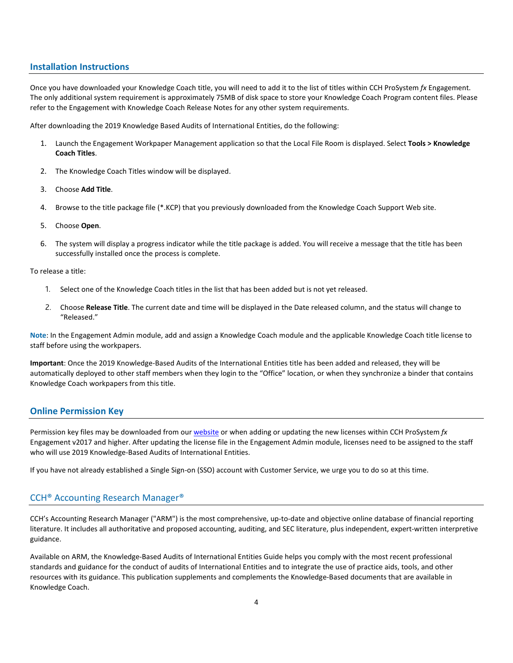# **Installation Instructions**

Once you have downloaded your Knowledge Coach title, you will need to add it to the list of titles within CCH ProSystem *fx* Engagement. The only additional system requirement is approximately 75MB of disk space to store your Knowledge Coach Program content files. Please refer to the Engagement with Knowledge Coach Release Notes for any other system requirements.

After downloading the 2019 Knowledge Based Audits of International Entities, do the following:

- 1. Launch the Engagement Workpaper Management application so that the Local File Room is displayed. Select **Tools > Knowledge Coach Titles**.
- 2. The Knowledge Coach Titles window will be displayed.
- 3. Choose **Add Title**.
- 4. Browse to the title package file (\*.KCP) that you previously downloaded from the Knowledge Coach Support Web site.
- 5. Choose **Open**.
- 6. The system will display a progress indicator while the title package is added. You will receive a message that the title has been successfully installed once the process is complete.

To release a title:

- 1. Select one of the Knowledge Coach titles in the list that has been added but is not yet released.
- 2. Choose **Release Title**. The current date and time will be displayed in the Date released column, and the status will change to "Released."

**Note**: In the Engagement Admin module, add and assign a Knowledge Coach module and the applicable Knowledge Coach title license to staff before using the workpapers.

**Important**: Once the 2019 Knowledge-Based Audits of the International Entities title has been added and released, they will be automatically deployed to other staff members when they login to the "Office" location, or when they synchronize a binder that contains Knowledge Coach workpapers from this title.

# **Online Permission Key**

Permission key files may be downloaded from ou[r website](https://prosystemfxsupport.tax.cchgroup.com/permkey/download.aspx) or when adding or updating the new licenses within CCH ProSystem *fx* Engagement v2017 and higher. After updating the license file in the Engagement Admin module, licenses need to be assigned to the staff who will use 2019 Knowledge-Based Audits of International Entities.

If you have not already established a Single Sign-on (SSO) account with Customer Service, we urge you to do so at this time.

# CCH® Accounting Research Manager®

CCH's Accounting Research Manager ("ARM") is the most comprehensive, up-to-date and objective online database of financial reporting literature. It includes all authoritative and proposed accounting, auditing, and SEC literature, plus independent, expert-written interpretive guidance.

Available on ARM, the Knowledge-Based Audits of International Entities Guide helps you comply with the most recent professional standards and guidance for the conduct of audits of International Entities and to integrate the use of practice aids, tools, and other resources with its guidance. This publication supplements and complements the Knowledge-Based documents that are available in Knowledge Coach.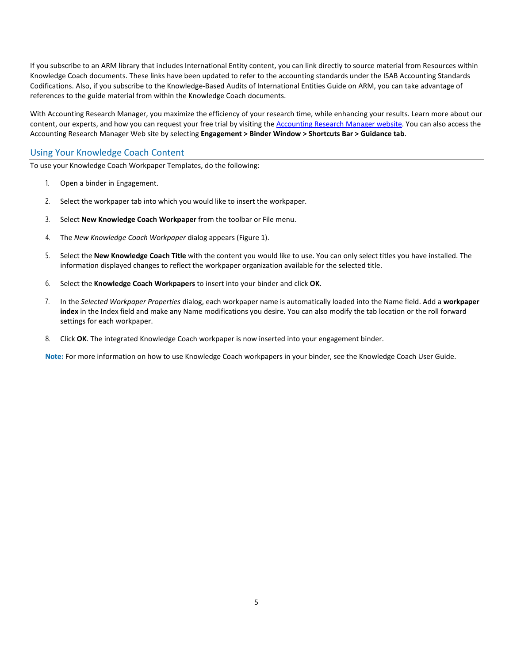If you subscribe to an ARM library that includes International Entity content, you can link directly to source material from Resources within Knowledge Coach documents. These links have been updated to refer to the accounting standards under the ISAB Accounting Standards Codifications. Also, if you subscribe to the Knowledge-Based Audits of International Entities Guide on ARM, you can take advantage of references to the guide material from within the Knowledge Coach documents.

With Accounting Research Manager, you maximize the efficiency of your research time, while enhancing your results. Learn more about our content, our experts, and how you can request your free trial by visiting the [Accounting Research Manager website.](http://www.accountingresearchmanager.com/) You can also access the Accounting Research Manager Web site by selecting **Engagement > Binder Window > Shortcuts Bar > Guidance tab**.

# Using Your Knowledge Coach Content

To use your Knowledge Coach Workpaper Templates, do the following:

- 1. Open a binder in Engagement.
- 2. Select the workpaper tab into which you would like to insert the workpaper.
- 3. Select **New Knowledge Coach Workpaper** from the toolbar or File menu.
- 4. The *New Knowledge Coach Workpaper* dialog appears (Figure 1).
- 5. Select the **New Knowledge Coach Title** with the content you would like to use. You can only select titles you have installed. The information displayed changes to reflect the workpaper organization available for the selected title.
- 6. Select the **Knowledge Coach Workpapers** to insert into your binder and click **OK**.
- 7. In the *Selected Workpaper Properties* dialog, each workpaper name is automatically loaded into the Name field. Add a **workpaper index** in the Index field and make any Name modifications you desire. You can also modify the tab location or the roll forward settings for each workpaper.
- 8. Click **OK**. The integrated Knowledge Coach workpaper is now inserted into your engagement binder.

**Note:** For more information on how to use Knowledge Coach workpapers in your binder, see the Knowledge Coach User Guide.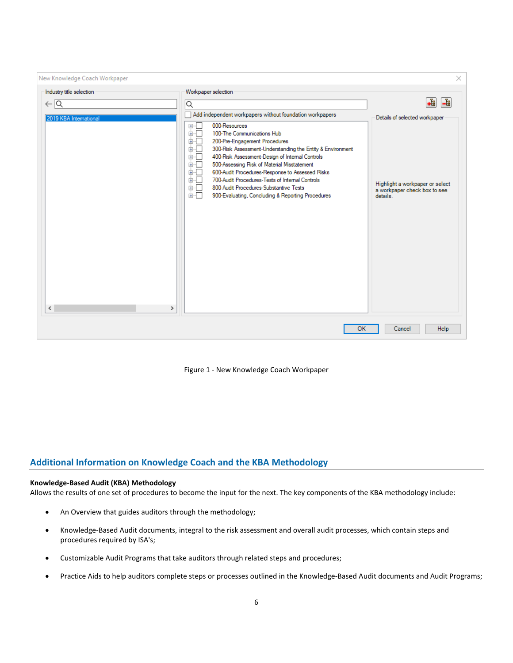| New Knowledge Coach Workpaper |                                                                                                                                                                                                                                                                                                                                                                                                                                                                                                                                | ×                                                                                       |
|-------------------------------|--------------------------------------------------------------------------------------------------------------------------------------------------------------------------------------------------------------------------------------------------------------------------------------------------------------------------------------------------------------------------------------------------------------------------------------------------------------------------------------------------------------------------------|-----------------------------------------------------------------------------------------|
| Industry title selection      | Workpaper selection                                                                                                                                                                                                                                                                                                                                                                                                                                                                                                            |                                                                                         |
| $\leftarrow$ $\overline{Q}$   | Q                                                                                                                                                                                                                                                                                                                                                                                                                                                                                                                              | .È<br>-법                                                                                |
| 2019 KBA International        | Add independent workpapers without foundation workpapers                                                                                                                                                                                                                                                                                                                                                                                                                                                                       | Details of selected workpaper                                                           |
| ≺<br>⋗                        | 000-Resources<br>$\boxplus \cdots$<br>ங்ர<br>100-The Communications Hub<br>面板<br>200-Pre-Engagement Procedures<br>面干<br>300-Risk Assessment-Understanding the Entity & Environment<br>க்ர<br>400-Risk Assessment-Design of Internal Controls<br>面石<br>500-Assessing Risk of Material Misstatement<br>面目<br>600-Audit Procedures-Response to Assessed Risks<br>面板<br>700-Audit Procedures-Tests of Internal Controls<br>画口<br>800-Audit Procedures-Substantive Tests<br>面一<br>900-Evaluating, Concluding & Reporting Procedures | Highlight a workpaper or select<br>a workpaper check box to see<br>details <sup>1</sup> |
|                               | OK                                                                                                                                                                                                                                                                                                                                                                                                                                                                                                                             | Help<br>Cancel                                                                          |

Figure 1 - New Knowledge Coach Workpaper

# **Additional Information on Knowledge Coach and the KBA Methodology**

# **Knowledge-Based Audit (KBA) Methodology**

Allows the results of one set of procedures to become the input for the next. The key components of the KBA methodology include:

- An Overview that guides auditors through the methodology;
- Knowledge-Based Audit documents, integral to the risk assessment and overall audit processes, which contain steps and procedures required by ISA's;
- Customizable Audit Programs that take auditors through related steps and procedures;
- Practice Aids to help auditors complete steps or processes outlined in the Knowledge-Based Audit documents and Audit Programs;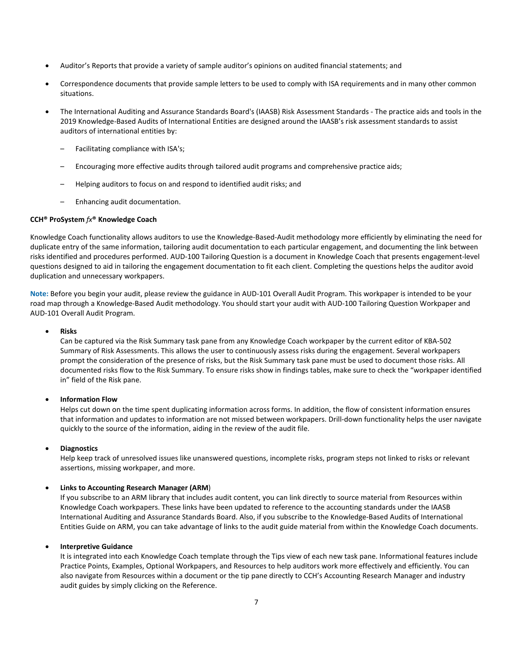- Auditor's Reports that provide a variety of sample auditor's opinions on audited financial statements; and
- Correspondence documents that provide sample letters to be used to comply with ISA requirements and in many other common situations.
- The International Auditing and Assurance Standards Board's (IAASB) Risk Assessment Standards The practice aids and tools in the 2019 Knowledge-Based Audits of International Entities are designed around the IAASB's risk assessment standards to assist auditors of international entities by:
	- Facilitating compliance with ISA's;
	- Encouraging more effective audits through tailored audit programs and comprehensive practice aids;
	- Helping auditors to focus on and respond to identified audit risks; and
	- Enhancing audit documentation.

### **CCH® ProSystem** *fx***® Knowledge Coach**

Knowledge Coach functionality allows auditors to use the Knowledge-Based-Audit methodology more efficiently by eliminating the need for duplicate entry of the same information, tailoring audit documentation to each particular engagement, and documenting the link between risks identified and procedures performed. AUD-100 Tailoring Question is a document in Knowledge Coach that presents engagement-level questions designed to aid in tailoring the engagement documentation to fit each client. Completing the questions helps the auditor avoid duplication and unnecessary workpapers.

**Note:** Before you begin your audit, please review the guidance in AUD-101 Overall Audit Program. This workpaper is intended to be your road map through a Knowledge-Based Audit methodology. You should start your audit with AUD-100 Tailoring Question Workpaper and AUD-101 Overall Audit Program.

#### • **Risks**

Can be captured via the Risk Summary task pane from any Knowledge Coach workpaper by the current editor of KBA-502 Summary of Risk Assessments. This allows the user to continuously assess risks during the engagement. Several workpapers prompt the consideration of the presence of risks, but the Risk Summary task pane must be used to document those risks. All documented risks flow to the Risk Summary. To ensure risks show in findings tables, make sure to check the "workpaper identified in" field of the Risk pane.

## • **Information Flow**

Helps cut down on the time spent duplicating information across forms. In addition, the flow of consistent information ensures that information and updates to information are not missed between workpapers. Drill-down functionality helps the user navigate quickly to the source of the information, aiding in the review of the audit file.

### • **Diagnostics**

Help keep track of unresolved issues like unanswered questions, incomplete risks, program steps not linked to risks or relevant assertions, missing workpaper, and more.

#### • **Links to Accounting Research Manager (ARM**)

If you subscribe to an ARM library that includes audit content, you can link directly to source material from Resources within Knowledge Coach workpapers. These links have been updated to reference to the accounting standards under the IAASB International Auditing and Assurance Standards Board. Also, if you subscribe to the Knowledge-Based Audits of International Entities Guide on ARM, you can take advantage of links to the audit guide material from within the Knowledge Coach documents.

#### • **Interpretive Guidance**

It is integrated into each Knowledge Coach template through the Tips view of each new task pane. Informational features include Practice Points, Examples, Optional Workpapers, and Resources to help auditors work more effectively and efficiently. You can also navigate from Resources within a document or the tip pane directly to CCH's Accounting Research Manager and industry audit guides by simply clicking on the Reference.